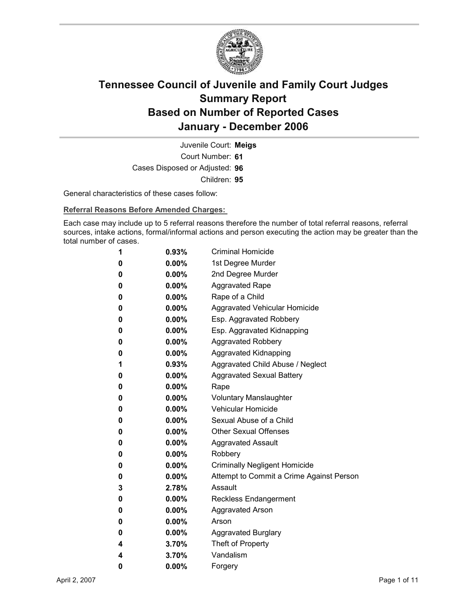

Court Number: **61** Juvenile Court: **Meigs** Cases Disposed or Adjusted: **96** Children: **95**

General characteristics of these cases follow:

**Referral Reasons Before Amended Charges:** 

Each case may include up to 5 referral reasons therefore the number of total referral reasons, referral sources, intake actions, formal/informal actions and person executing the action may be greater than the total number of cases.

| 1 | 0.93%    | <b>Criminal Homicide</b>                 |
|---|----------|------------------------------------------|
| 0 | $0.00\%$ | 1st Degree Murder                        |
| 0 | $0.00\%$ | 2nd Degree Murder                        |
| 0 | $0.00\%$ | <b>Aggravated Rape</b>                   |
| 0 | $0.00\%$ | Rape of a Child                          |
| 0 | 0.00%    | Aggravated Vehicular Homicide            |
| 0 | 0.00%    | Esp. Aggravated Robbery                  |
| 0 | $0.00\%$ | Esp. Aggravated Kidnapping               |
| 0 | 0.00%    | <b>Aggravated Robbery</b>                |
| 0 | $0.00\%$ | <b>Aggravated Kidnapping</b>             |
| 1 | $0.93\%$ | Aggravated Child Abuse / Neglect         |
| 0 | $0.00\%$ | <b>Aggravated Sexual Battery</b>         |
| 0 | $0.00\%$ | Rape                                     |
| 0 | $0.00\%$ | <b>Voluntary Manslaughter</b>            |
| 0 | $0.00\%$ | <b>Vehicular Homicide</b>                |
| 0 | $0.00\%$ | Sexual Abuse of a Child                  |
| 0 | $0.00\%$ | <b>Other Sexual Offenses</b>             |
| 0 | $0.00\%$ | <b>Aggravated Assault</b>                |
| 0 | 0.00%    | Robbery                                  |
| 0 | $0.00\%$ | <b>Criminally Negligent Homicide</b>     |
| 0 | $0.00\%$ | Attempt to Commit a Crime Against Person |
| 3 | 2.78%    | Assault                                  |
| 0 | $0.00\%$ | <b>Reckless Endangerment</b>             |
| 0 | $0.00\%$ | <b>Aggravated Arson</b>                  |
| 0 | $0.00\%$ | Arson                                    |
| 0 | 0.00%    | <b>Aggravated Burglary</b>               |
| 4 | 3.70%    | Theft of Property                        |
| 4 | 3.70%    | Vandalism                                |
| 0 | 0.00%    | Forgery                                  |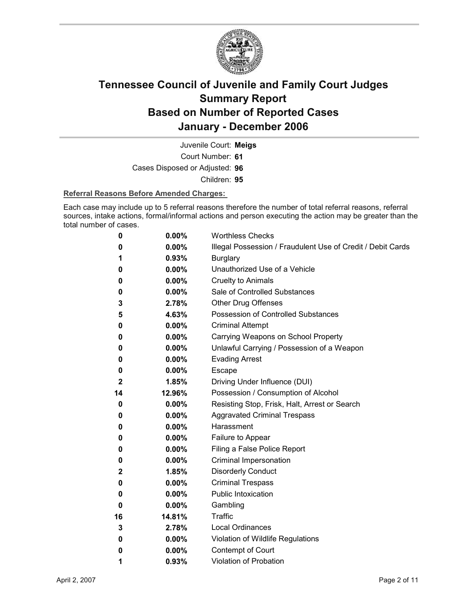

Court Number: **61** Juvenile Court: **Meigs** Cases Disposed or Adjusted: **96** Children: **95**

#### **Referral Reasons Before Amended Charges:**

Each case may include up to 5 referral reasons therefore the number of total referral reasons, referral sources, intake actions, formal/informal actions and person executing the action may be greater than the total number of cases.

| 0            | 0.00%    | <b>Worthless Checks</b>                                     |
|--------------|----------|-------------------------------------------------------------|
| 0            | 0.00%    | Illegal Possession / Fraudulent Use of Credit / Debit Cards |
| 1            | 0.93%    | <b>Burglary</b>                                             |
| 0            | $0.00\%$ | Unauthorized Use of a Vehicle                               |
| 0            | $0.00\%$ | <b>Cruelty to Animals</b>                                   |
| 0            | $0.00\%$ | Sale of Controlled Substances                               |
| 3            | 2.78%    | <b>Other Drug Offenses</b>                                  |
| 5            | 4.63%    | Possession of Controlled Substances                         |
| 0            | 0.00%    | <b>Criminal Attempt</b>                                     |
| 0            | 0.00%    | Carrying Weapons on School Property                         |
| 0            | 0.00%    | Unlawful Carrying / Possession of a Weapon                  |
| 0            | 0.00%    | <b>Evading Arrest</b>                                       |
| 0            | $0.00\%$ | Escape                                                      |
| $\mathbf{2}$ | 1.85%    | Driving Under Influence (DUI)                               |
| 14           | 12.96%   | Possession / Consumption of Alcohol                         |
| 0            | 0.00%    | Resisting Stop, Frisk, Halt, Arrest or Search               |
| 0            | $0.00\%$ | <b>Aggravated Criminal Trespass</b>                         |
| 0            | 0.00%    | Harassment                                                  |
| 0            | $0.00\%$ | Failure to Appear                                           |
| 0            | 0.00%    | Filing a False Police Report                                |
| 0            | 0.00%    | Criminal Impersonation                                      |
| 2            | 1.85%    | <b>Disorderly Conduct</b>                                   |
| 0            | 0.00%    | <b>Criminal Trespass</b>                                    |
| 0            | $0.00\%$ | <b>Public Intoxication</b>                                  |
| 0            | 0.00%    | Gambling                                                    |
| 16           | 14.81%   | <b>Traffic</b>                                              |
| 3            | 2.78%    | <b>Local Ordinances</b>                                     |
| 0            | $0.00\%$ | Violation of Wildlife Regulations                           |
| 0            | 0.00%    | Contempt of Court                                           |
| 1            | 0.93%    | Violation of Probation                                      |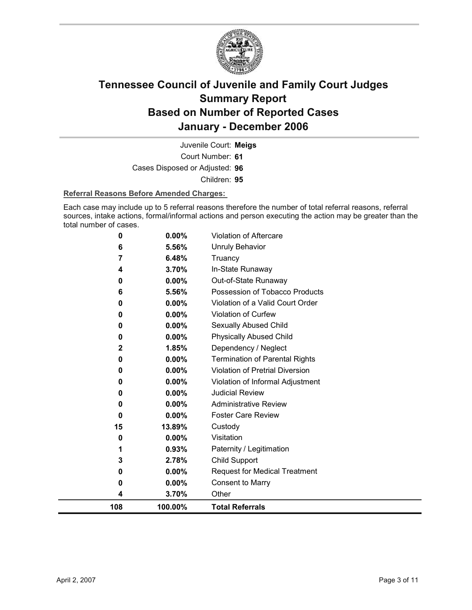

Court Number: **61** Juvenile Court: **Meigs** Cases Disposed or Adjusted: **96** Children: **95**

#### **Referral Reasons Before Amended Charges:**

Each case may include up to 5 referral reasons therefore the number of total referral reasons, referral sources, intake actions, formal/informal actions and person executing the action may be greater than the total number of cases.

| 108          | 100.00%        | <b>Total Referrals</b>                                 |
|--------------|----------------|--------------------------------------------------------|
| 4            | 3.70%          | Other                                                  |
| 0            | 0.00%          | <b>Consent to Marry</b>                                |
| 0            | $0.00\%$       | <b>Request for Medical Treatment</b>                   |
| 3            | 2.78%          | Child Support                                          |
| 1            | 0.93%          | Paternity / Legitimation                               |
| 0            | 0.00%          | Visitation                                             |
| 15           | 13.89%         | Custody                                                |
| $\bf{0}$     | 0.00%          | <b>Foster Care Review</b>                              |
| 0            | 0.00%          | <b>Administrative Review</b>                           |
| 0            | 0.00%          | <b>Judicial Review</b>                                 |
| $\bf{0}$     | 0.00%          | Violation of Informal Adjustment                       |
| 0            | 0.00%          | Violation of Pretrial Diversion                        |
| 0            | 0.00%          | <b>Termination of Parental Rights</b>                  |
| $\mathbf{2}$ | 1.85%          | Dependency / Neglect                                   |
| 0            | $0.00\%$       | <b>Physically Abused Child</b>                         |
| 0            | 0.00%          | Sexually Abused Child                                  |
| 0            | 0.00%          | Violation of Curfew                                    |
| 0            | 5.56%<br>0.00% | Violation of a Valid Court Order                       |
| 0<br>6       | 0.00%          | Out-of-State Runaway<br>Possession of Tobacco Products |
| 4            | 3.70%          | In-State Runaway                                       |
| 7            | 6.48%          | Truancy                                                |
| 6            | 5.56%          | <b>Unruly Behavior</b>                                 |
| 0            | 0.00%          | <b>Violation of Aftercare</b>                          |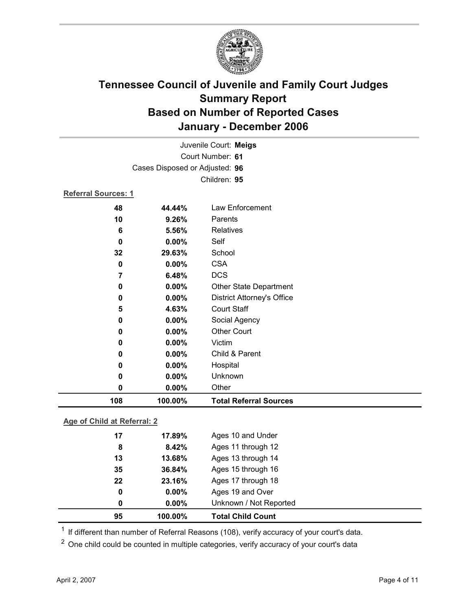

| 108                        | 100.00%                        | <b>Total Referral Sources</b>     |
|----------------------------|--------------------------------|-----------------------------------|
| 0                          | 0.00%                          | Other                             |
| 0                          | 0.00%                          | Unknown                           |
| 0                          | 0.00%                          | Hospital                          |
| 0                          | 0.00%                          | Child & Parent                    |
| 0                          | $0.00\%$                       | Victim                            |
| 0                          | $0.00\%$                       | <b>Other Court</b>                |
| 0                          | 0.00%                          | Social Agency                     |
| 5                          | 4.63%                          | <b>Court Staff</b>                |
| 0                          | 0.00%                          | <b>District Attorney's Office</b> |
| 0                          | 0.00%                          | Other State Department            |
| 7                          | 6.48%                          | <b>DCS</b>                        |
| 0                          | 0.00%                          | <b>CSA</b>                        |
| 32                         | 29.63%                         | School                            |
| 0                          | 0.00%                          | Self                              |
| 6                          | 5.56%                          | Relatives                         |
| 10                         | 9.26%                          | Parents                           |
| 48                         | 44.44%                         | Law Enforcement                   |
| <b>Referral Sources: 1</b> |                                |                                   |
|                            |                                | Children: 95                      |
|                            | Cases Disposed or Adjusted: 96 |                                   |
|                            |                                | Court Number: 61                  |
|                            |                                | Juvenile Court: Meigs             |
|                            |                                |                                   |

### **Age of Child at Referral: 2**

| 95 | 100.00%       | <b>Total Child Count</b> |
|----|---------------|--------------------------|
|    | $0.00\%$<br>0 | Unknown / Not Reported   |
|    | $0.00\%$<br>0 | Ages 19 and Over         |
| 22 | 23.16%        | Ages 17 through 18       |
| 35 | 36.84%        | Ages 15 through 16       |
| 13 | 13.68%        | Ages 13 through 14       |
|    | 8.42%<br>8    | Ages 11 through 12       |
| 17 | 17.89%        | Ages 10 and Under        |
|    |               |                          |

<sup>1</sup> If different than number of Referral Reasons (108), verify accuracy of your court's data.

<sup>2</sup> One child could be counted in multiple categories, verify accuracy of your court's data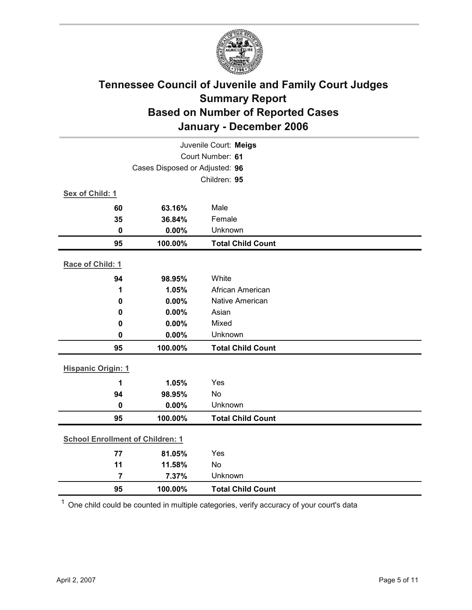

|                                         |                                | Juvenile Court: Meigs    |
|-----------------------------------------|--------------------------------|--------------------------|
|                                         |                                | Court Number: 61         |
|                                         | Cases Disposed or Adjusted: 96 |                          |
|                                         |                                | Children: 95             |
| Sex of Child: 1                         |                                |                          |
| 60                                      | 63.16%                         | Male                     |
| 35                                      | 36.84%                         | Female                   |
| $\mathbf 0$                             | 0.00%                          | Unknown                  |
| 95                                      | 100.00%                        | <b>Total Child Count</b> |
| Race of Child: 1                        |                                |                          |
| 94                                      | 98.95%                         | White                    |
| 1                                       | 1.05%                          | African American         |
| $\mathbf 0$                             | 0.00%                          | Native American          |
| 0                                       | 0.00%                          | Asian                    |
| 0                                       | 0.00%                          | Mixed                    |
| 0                                       | 0.00%                          | Unknown                  |
| 95                                      | 100.00%                        | <b>Total Child Count</b> |
| <b>Hispanic Origin: 1</b>               |                                |                          |
| 1                                       | 1.05%                          | Yes                      |
| 94                                      | 98.95%                         | <b>No</b>                |
| $\mathbf 0$                             | 0.00%                          | Unknown                  |
| 95                                      | 100.00%                        | <b>Total Child Count</b> |
| <b>School Enrollment of Children: 1</b> |                                |                          |
| 77                                      | 81.05%                         | Yes                      |
| 11                                      | 11.58%                         | <b>No</b>                |
| $\overline{7}$                          | 7.37%                          | Unknown                  |
| 95                                      | 100.00%                        | <b>Total Child Count</b> |

 $1$  One child could be counted in multiple categories, verify accuracy of your court's data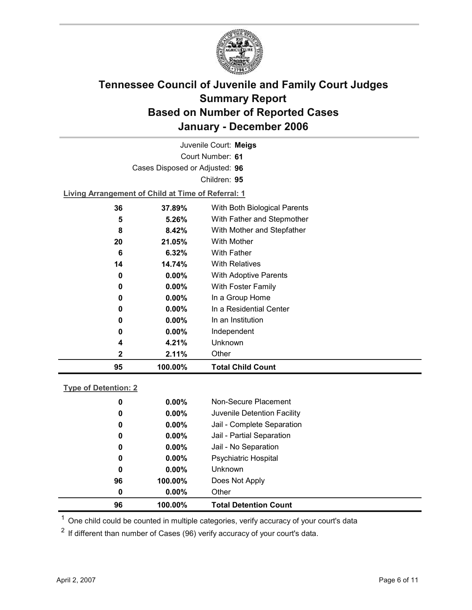

Court Number: **61** Juvenile Court: **Meigs** Cases Disposed or Adjusted: **96** Children: **95 Living Arrangement of Child at Time of Referral: 1**

| 95 | 100.00%  | <b>Total Child Count</b>     |  |
|----|----------|------------------------------|--|
| 2  | 2.11%    | Other                        |  |
| 4  | 4.21%    | Unknown                      |  |
| 0  | $0.00\%$ | Independent                  |  |
| 0  | $0.00\%$ | In an Institution            |  |
| 0  | $0.00\%$ | In a Residential Center      |  |
| 0  | $0.00\%$ | In a Group Home              |  |
| 0  | $0.00\%$ | With Foster Family           |  |
| 0  | $0.00\%$ | With Adoptive Parents        |  |
| 14 | 14.74%   | <b>With Relatives</b>        |  |
| 6  | $6.32\%$ | <b>With Father</b>           |  |
| 20 | 21.05%   | With Mother                  |  |
| 8  | 8.42%    | With Mother and Stepfather   |  |
| 5  | 5.26%    | With Father and Stepmother   |  |
| 36 | 37.89%   | With Both Biological Parents |  |

### **Type of Detention: 2**

| 96 | 100.00%  | <b>Total Detention Count</b> |
|----|----------|------------------------------|
| 0  | $0.00\%$ | Other                        |
| 96 | 100.00%  | Does Not Apply               |
| 0  | $0.00\%$ | <b>Unknown</b>               |
| 0  | $0.00\%$ | <b>Psychiatric Hospital</b>  |
| 0  | $0.00\%$ | Jail - No Separation         |
| 0  | $0.00\%$ | Jail - Partial Separation    |
| 0  | $0.00\%$ | Jail - Complete Separation   |
| 0  | $0.00\%$ | Juvenile Detention Facility  |
| 0  | $0.00\%$ | Non-Secure Placement         |
|    |          |                              |

 $<sup>1</sup>$  One child could be counted in multiple categories, verify accuracy of your court's data</sup>

 $2$  If different than number of Cases (96) verify accuracy of your court's data.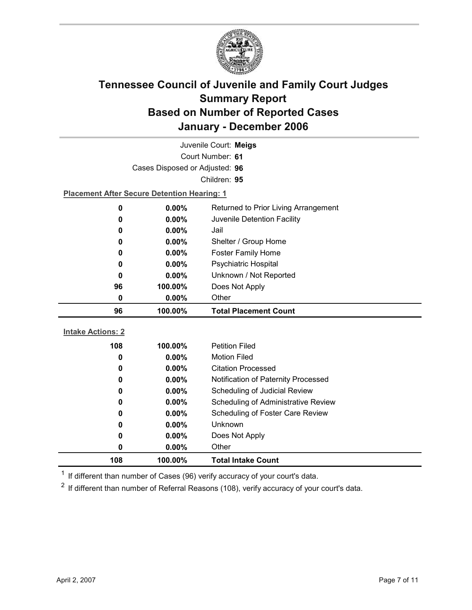

|                                                    |                                | Juvenile Court: Meigs                |  |  |
|----------------------------------------------------|--------------------------------|--------------------------------------|--|--|
|                                                    |                                | Court Number: 61                     |  |  |
|                                                    | Cases Disposed or Adjusted: 96 |                                      |  |  |
|                                                    |                                | Children: 95                         |  |  |
| <b>Placement After Secure Detention Hearing: 1</b> |                                |                                      |  |  |
| 0                                                  | 0.00%                          | Returned to Prior Living Arrangement |  |  |
| 0                                                  | 0.00%                          | Juvenile Detention Facility          |  |  |
| 0                                                  | $0.00\%$                       | Jail                                 |  |  |
| 0                                                  | 0.00%                          | Shelter / Group Home                 |  |  |
| 0                                                  | $0.00\%$                       | <b>Foster Family Home</b>            |  |  |
| 0                                                  | 0.00%                          | Psychiatric Hospital                 |  |  |
| 0                                                  | 0.00%                          | Unknown / Not Reported               |  |  |
| 96                                                 | 100.00%                        | Does Not Apply                       |  |  |
| 0                                                  | 0.00%                          | Other                                |  |  |
|                                                    |                                |                                      |  |  |
| 96                                                 | 100.00%                        | <b>Total Placement Count</b>         |  |  |
|                                                    |                                |                                      |  |  |
| <b>Intake Actions: 2</b>                           |                                |                                      |  |  |
| 108                                                | 100.00%                        | <b>Petition Filed</b>                |  |  |
| 0                                                  | 0.00%                          | <b>Motion Filed</b>                  |  |  |
| 0                                                  | 0.00%                          | <b>Citation Processed</b>            |  |  |
| 0                                                  | 0.00%                          | Notification of Paternity Processed  |  |  |
| 0                                                  | 0.00%                          | Scheduling of Judicial Review        |  |  |
| 0                                                  | 0.00%                          | Scheduling of Administrative Review  |  |  |
| 0                                                  | 0.00%                          | Scheduling of Foster Care Review     |  |  |
| 0                                                  | $0.00\%$                       | Unknown                              |  |  |
| 0                                                  | 0.00%                          | Does Not Apply                       |  |  |
| 0                                                  | 0.00%                          | Other                                |  |  |

 $1$  If different than number of Cases (96) verify accuracy of your court's data.

 $2$  If different than number of Referral Reasons (108), verify accuracy of your court's data.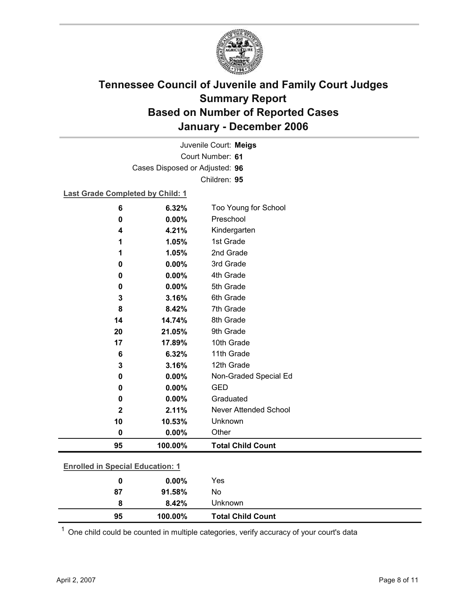

Court Number: **61** Juvenile Court: **Meigs** Cases Disposed or Adjusted: **96** Children: **95**

### **Last Grade Completed by Child: 1**

| 6                                       | 6.32%    | Too Young for School         |
|-----------------------------------------|----------|------------------------------|
| 0                                       | 0.00%    | Preschool                    |
| 4                                       | 4.21%    | Kindergarten                 |
| 1                                       | 1.05%    | 1st Grade                    |
| 1                                       | 1.05%    | 2nd Grade                    |
| 0                                       | 0.00%    | 3rd Grade                    |
| 0                                       | 0.00%    | 4th Grade                    |
| 0                                       | 0.00%    | 5th Grade                    |
| 3                                       | 3.16%    | 6th Grade                    |
| 8                                       | 8.42%    | 7th Grade                    |
| 14                                      | 14.74%   | 8th Grade                    |
| 20                                      | 21.05%   | 9th Grade                    |
| 17                                      | 17.89%   | 10th Grade                   |
| 6                                       | 6.32%    | 11th Grade                   |
| 3                                       | 3.16%    | 12th Grade                   |
| 0                                       | 0.00%    | Non-Graded Special Ed        |
| 0                                       | 0.00%    | <b>GED</b>                   |
| 0                                       | 0.00%    | Graduated                    |
| $\mathbf 2$                             | 2.11%    | <b>Never Attended School</b> |
| 10                                      | 10.53%   | Unknown                      |
| 0                                       | $0.00\%$ | Other                        |
| 95                                      | 100.00%  | <b>Total Child Count</b>     |
|                                         |          |                              |
| <b>Enrolled in Special Education: 1</b> |          |                              |
| 0                                       | 0.00%    | Yes                          |

 $1$  One child could be counted in multiple categories, verify accuracy of your court's data

**87 91.58%** No

**8 8.42%** Unknown

**95 100.00% Total Child Count**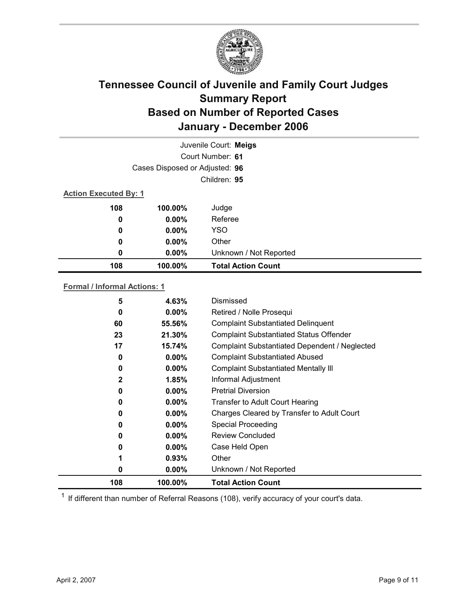

|                              |                                | Juvenile Court: Meigs     |  |
|------------------------------|--------------------------------|---------------------------|--|
|                              |                                | Court Number: 61          |  |
|                              | Cases Disposed or Adjusted: 96 |                           |  |
|                              |                                | Children: 95              |  |
| <b>Action Executed By: 1</b> |                                |                           |  |
| 108                          | 100.00%                        | Judge                     |  |
| 0                            | $0.00\%$                       | Referee                   |  |
| 0                            | $0.00\%$                       | <b>YSO</b>                |  |
| 0                            | $0.00\%$                       | Other                     |  |
| 0                            | $0.00\%$                       | Unknown / Not Reported    |  |
| 108                          | 100.00%                        | <b>Total Action Count</b> |  |

### **Formal / Informal Actions: 1**

| 0<br>0<br>0<br>0<br>0<br>0<br>0 | $0.00\%$<br>$0.00\%$<br>$0.00\%$<br>$0.00\%$<br>$0.00\%$<br>$0.00\%$<br>0.93%<br>$0.00\%$ | <b>Pretrial Diversion</b><br><b>Transfer to Adult Court Hearing</b><br>Charges Cleared by Transfer to Adult Court<br><b>Special Proceeding</b><br><b>Review Concluded</b><br>Case Held Open<br>Other<br>Unknown / Not Reported |
|---------------------------------|-------------------------------------------------------------------------------------------|--------------------------------------------------------------------------------------------------------------------------------------------------------------------------------------------------------------------------------|
|                                 |                                                                                           |                                                                                                                                                                                                                                |
|                                 |                                                                                           |                                                                                                                                                                                                                                |
|                                 |                                                                                           |                                                                                                                                                                                                                                |
|                                 |                                                                                           |                                                                                                                                                                                                                                |
|                                 |                                                                                           |                                                                                                                                                                                                                                |
|                                 |                                                                                           |                                                                                                                                                                                                                                |
|                                 |                                                                                           |                                                                                                                                                                                                                                |
|                                 |                                                                                           |                                                                                                                                                                                                                                |
| 2                               | 1.85%                                                                                     | Informal Adjustment                                                                                                                                                                                                            |
| 0                               | $0.00\%$                                                                                  | <b>Complaint Substantiated Mentally III</b>                                                                                                                                                                                    |
| 0                               | $0.00\%$                                                                                  | <b>Complaint Substantiated Abused</b>                                                                                                                                                                                          |
| 17                              | 15.74%                                                                                    | Complaint Substantiated Dependent / Neglected                                                                                                                                                                                  |
| 23                              | 21.30%                                                                                    | <b>Complaint Substantiated Status Offender</b>                                                                                                                                                                                 |
| 60                              | 55.56%                                                                                    | <b>Complaint Substantiated Delinquent</b>                                                                                                                                                                                      |
| 0                               | $0.00\%$                                                                                  | Retired / Nolle Prosequi                                                                                                                                                                                                       |
| 5                               | 4.63%                                                                                     | Dismissed                                                                                                                                                                                                                      |
|                                 |                                                                                           |                                                                                                                                                                                                                                |

 $1$  If different than number of Referral Reasons (108), verify accuracy of your court's data.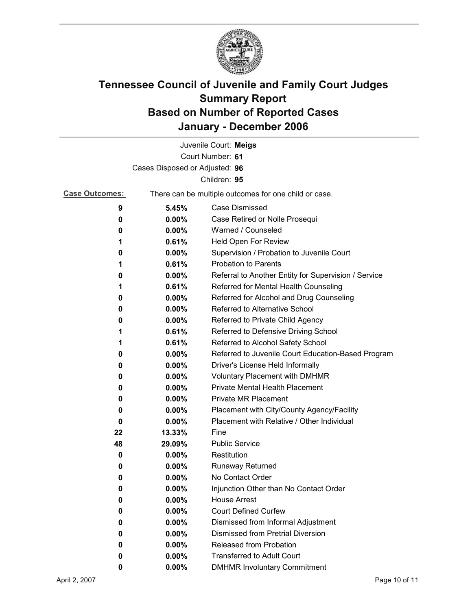

|                                |                                                       | Juvenile Court: Meigs                                |
|--------------------------------|-------------------------------------------------------|------------------------------------------------------|
|                                |                                                       | Court Number: 61                                     |
| Cases Disposed or Adjusted: 96 |                                                       |                                                      |
|                                |                                                       | Children: 95                                         |
| <b>Case Outcomes:</b>          | There can be multiple outcomes for one child or case. |                                                      |
| 9                              | 5.45%                                                 | <b>Case Dismissed</b>                                |
| 0                              | $0.00\%$                                              | Case Retired or Nolle Prosequi                       |
| 0                              | 0.00%                                                 | Warned / Counseled                                   |
| 1                              | 0.61%                                                 | Held Open For Review                                 |
| 0                              | $0.00\%$                                              | Supervision / Probation to Juvenile Court            |
| 1                              | 0.61%                                                 | <b>Probation to Parents</b>                          |
| 0                              | $0.00\%$                                              | Referral to Another Entity for Supervision / Service |
| 1                              | 0.61%                                                 | Referred for Mental Health Counseling                |
| 0                              | $0.00\%$                                              | Referred for Alcohol and Drug Counseling             |
| 0                              | 0.00%                                                 | Referred to Alternative School                       |
| 0                              | $0.00\%$                                              | Referred to Private Child Agency                     |
| 1                              | 0.61%                                                 | Referred to Defensive Driving School                 |
| 1                              | 0.61%                                                 | Referred to Alcohol Safety School                    |
| 0                              | $0.00\%$                                              | Referred to Juvenile Court Education-Based Program   |
| 0                              | $0.00\%$                                              | Driver's License Held Informally                     |
| 0                              | $0.00\%$                                              | <b>Voluntary Placement with DMHMR</b>                |
| 0                              | $0.00\%$                                              | <b>Private Mental Health Placement</b>               |
| 0                              | $0.00\%$                                              | <b>Private MR Placement</b>                          |
| 0                              | $0.00\%$                                              | Placement with City/County Agency/Facility           |
| 0                              | $0.00\%$                                              | Placement with Relative / Other Individual           |
| 22                             | 13.33%                                                | Fine                                                 |
| 48                             | 29.09%                                                | <b>Public Service</b>                                |
| 0                              | $0.00\%$                                              | Restitution                                          |
| 0                              | $0.00\%$                                              | Runaway Returned                                     |
| 0                              | 0.00%                                                 | No Contact Order                                     |
| 0                              | 0.00%                                                 | Injunction Other than No Contact Order               |
| 0                              | 0.00%                                                 | <b>House Arrest</b>                                  |
| 0                              | $0.00\%$                                              | <b>Court Defined Curfew</b>                          |
| 0                              | 0.00%                                                 | Dismissed from Informal Adjustment                   |
| 0                              | 0.00%                                                 | <b>Dismissed from Pretrial Diversion</b>             |
| 0                              | $0.00\%$                                              | Released from Probation                              |
| 0                              | $0.00\%$                                              | <b>Transferred to Adult Court</b>                    |
| 0                              | $0.00\%$                                              | <b>DMHMR Involuntary Commitment</b>                  |